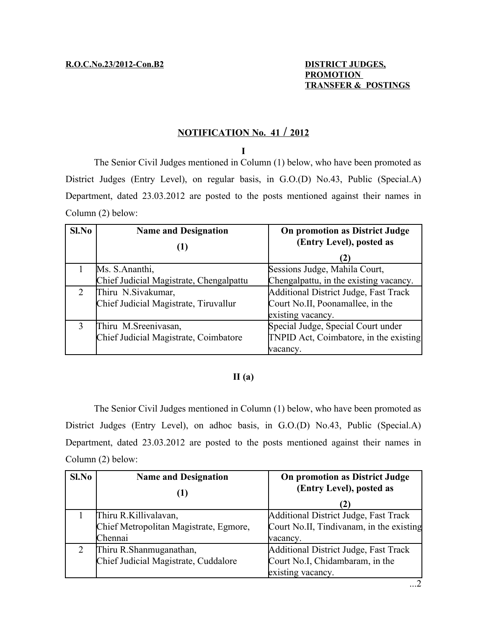# **PROMOTION TRANSFER & POSTINGS**

# **N OTIFICATION No. 41 / 2012**

**I**

The Senior Civil Judges mentioned in Column (1) below, who have been promoted as District Judges (Entry Level), on regular basis, in G.O.(D) No.43, Public (Special.A) Department, dated 23.03.2012 are posted to the posts mentioned against their names in Column (2) below:

| Sl.No         | <b>Name and Designation</b>             | <b>On promotion as District Judge</b>  |
|---------------|-----------------------------------------|----------------------------------------|
|               |                                         | (Entry Level), posted as               |
|               |                                         |                                        |
|               | Ms. S. Ananthi,                         | Sessions Judge, Mahila Court,          |
|               | Chief Judicial Magistrate, Chengalpattu | Chengalpattu, in the existing vacancy. |
| $\mathcal{L}$ | Thiru N.Sivakumar,                      | Additional District Judge, Fast Track  |
|               | Chief Judicial Magistrate, Tiruvallur   | Court No.II, Poonamallee, in the       |
|               |                                         | existing vacancy.                      |
| 3             | Thiru M.Sreenivasan,                    | Special Judge, Special Court under     |
|               | Chief Judicial Magistrate, Coimbatore   | TNPID Act, Coimbatore, in the existing |
|               |                                         | vacancy.                               |

## **II (a)**

The Senior Civil Judges mentioned in Column (1) below, who have been promoted as District Judges (Entry Level), on adhoc basis, in G.O.(D) No.43, Public (Special.A) Department, dated 23.03.2012 are posted to the posts mentioned against their names in Column (2) below:

| Sl.No | <b>Name and Designation</b>            | <b>On promotion as District Judge</b>    |
|-------|----------------------------------------|------------------------------------------|
|       |                                        | (Entry Level), posted as                 |
|       |                                        | (2)                                      |
|       | Thiru R.Killivalavan,                  | Additional District Judge, Fast Track    |
|       | Chief Metropolitan Magistrate, Egmore, | Court No.II, Tindivanam, in the existing |
|       | Chennai                                | vacancy.                                 |
| 2     | Thiru R.Shanmuganathan,                | Additional District Judge, Fast Track    |
|       | Chief Judicial Magistrate, Cuddalore   | Court No.I, Chidambaram, in the          |
|       |                                        | existing vacancy.                        |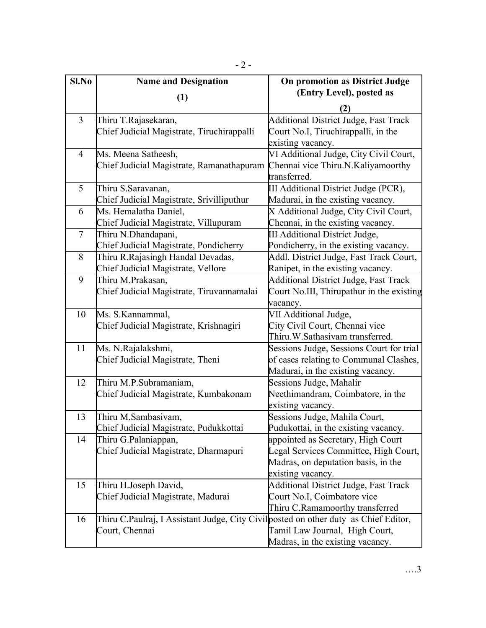| Sl.No          | <b>Name and Designation</b>                                                         | <b>On promotion as District Judge</b>        |
|----------------|-------------------------------------------------------------------------------------|----------------------------------------------|
|                | (1)                                                                                 | (Entry Level), posted as                     |
|                |                                                                                     | (2)                                          |
| 3              | Thiru T.Rajasekaran,                                                                | <b>Additional District Judge, Fast Track</b> |
|                | Chief Judicial Magistrate, Tiruchirappalli                                          | Court No.I, Tiruchirappalli, in the          |
|                |                                                                                     | existing vacancy.                            |
| $\overline{4}$ | Ms. Meena Satheesh,                                                                 | VI Additional Judge, City Civil Court,       |
|                | Chief Judicial Magistrate, Ramanathapuram                                           | Chennai vice Thiru.N.Kaliyamoorthy           |
|                |                                                                                     | transferred.                                 |
| 5              | Thiru S.Saravanan,                                                                  | III Additional District Judge (PCR),         |
|                | Chief Judicial Magistrate, Srivilliputhur                                           | Madurai, in the existing vacancy.            |
| 6              | Ms. Hemalatha Daniel,                                                               | X Additional Judge, City Civil Court,        |
|                | Chief Judicial Magistrate, Villupuram                                               | Chennai, in the existing vacancy.            |
| $\overline{7}$ | Thiru N.Dhandapani,                                                                 | III Additional District Judge,               |
|                | Chief Judicial Magistrate, Pondicherry                                              | Pondicherry, in the existing vacancy.        |
| 8              | Thiru R.Rajasingh Handal Devadas,                                                   | Addl. District Judge, Fast Track Court,      |
|                | Chief Judicial Magistrate, Vellore                                                  | Ranipet, in the existing vacancy.            |
| 9              | Thiru M.Prakasan,                                                                   | <b>Additional District Judge, Fast Track</b> |
|                | Chief Judicial Magistrate, Tiruvannamalai                                           | Court No.III, Thirupathur in the existing    |
|                |                                                                                     | vacancy.                                     |
| 10             | Ms. S.Kannammal,                                                                    | VII Additional Judge,                        |
|                | Chief Judicial Magistrate, Krishnagiri                                              | City Civil Court, Chennai vice               |
|                |                                                                                     | Thiru.W.Sathasivam transferred.              |
| 11             | Ms. N.Rajalakshmi,                                                                  | Sessions Judge, Sessions Court for trial     |
|                | Chief Judicial Magistrate, Theni                                                    | of cases relating to Communal Clashes,       |
|                |                                                                                     | Madurai, in the existing vacancy.            |
| 12             | Thiru M.P.Subramaniam,                                                              | Sessions Judge, Mahalir                      |
|                | Chief Judicial Magistrate, Kumbakonam                                               | Neethimandram, Coimbatore, in the            |
|                |                                                                                     | existing vacancy.                            |
| 13             | Thiru M.Sambasivam,                                                                 | Sessions Judge, Mahila Court,                |
|                | Chief Judicial Magistrate, Pudukkottai                                              | Pudukottai, in the existing vacancy.         |
| 14             | Thiru G.Palaniappan,                                                                | appointed as Secretary, High Court           |
|                | Chief Judicial Magistrate, Dharmapuri                                               | Legal Services Committee, High Court,        |
|                |                                                                                     | Madras, on deputation basis, in the          |
|                |                                                                                     | existing vacancy.                            |
| 15             | Thiru H.Joseph David,                                                               | <b>Additional District Judge, Fast Track</b> |
|                | Chief Judicial Magistrate, Madurai                                                  | Court No.I, Coimbatore vice                  |
|                |                                                                                     | Thiru C.Ramamoorthy transferred              |
| 16             | Thiru C.Paulraj, I Assistant Judge, City Civilposted on other duty as Chief Editor, |                                              |
|                | Court, Chennai                                                                      | Tamil Law Journal, High Court,               |
|                |                                                                                     | Madras, in the existing vacancy.             |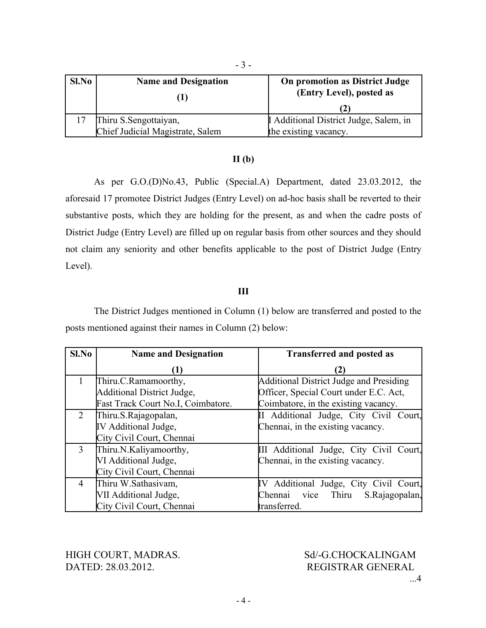| Sl.No | <b>Name and Designation</b>      | <b>On promotion as District Judge</b><br>(Entry Level), posted as |
|-------|----------------------------------|-------------------------------------------------------------------|
|       | Thiru S.Sengottaiyan,            | I Additional District Judge, Salem, in                            |
|       | Chief Judicial Magistrate, Salem | the existing vacancy.                                             |

## **II (b)**

As per G.O.(D)No.43, Public (Special.A) Department, dated 23.03.2012, the aforesaid 17 promotee District Judges (Entry Level) on ad-hoc basis shall be reverted to their substantive posts, which they are holding for the present, as and when the cadre posts of District Judge (Entry Level) are filled up on regular basis from other sources and they should not claim any seniority and other benefits applicable to the post of District Judge (Entry Level).

## **III**

The District Judges mentioned in Column (1) below are transferred and posted to the posts mentioned against their names in Column (2) below:

| Sl.No          | <b>Name and Designation</b>        | <b>Transferred and posted as</b>        |
|----------------|------------------------------------|-----------------------------------------|
|                |                                    |                                         |
| 1              | Thiru.C.Ramamoorthy,               | Additional District Judge and Presiding |
|                | Additional District Judge,         | Officer, Special Court under E.C. Act,  |
|                | Fast Track Court No.I, Coimbatore. | Coimbatore, in the existing vacancy.    |
| $\overline{2}$ | Thiru.S.Rajagopalan,               | II Additional Judge, City Civil Court,  |
|                | IV Additional Judge,               | Chennai, in the existing vacancy.       |
|                | City Civil Court, Chennai          |                                         |
| 3              | Thiru.N.Kaliyamoorthy,             | III Additional Judge, City Civil Court, |
|                | VI Additional Judge,               | Chennai, in the existing vacancy.       |
|                | City Civil Court, Chennai          |                                         |
| $\overline{4}$ | Thiru W.Sathasivam,                | IV Additional Judge, City Civil Court,  |
|                | VII Additional Judge,              | Chennai vice Thiru<br>S.Rajagopalan,    |
|                | City Civil Court, Chennai          | transferred.                            |

HIGH COURT, MADRAS. Sd/-G.CHOCKALINGAM DATED: 28.03.2012. REGISTRAR GENERAL

...4